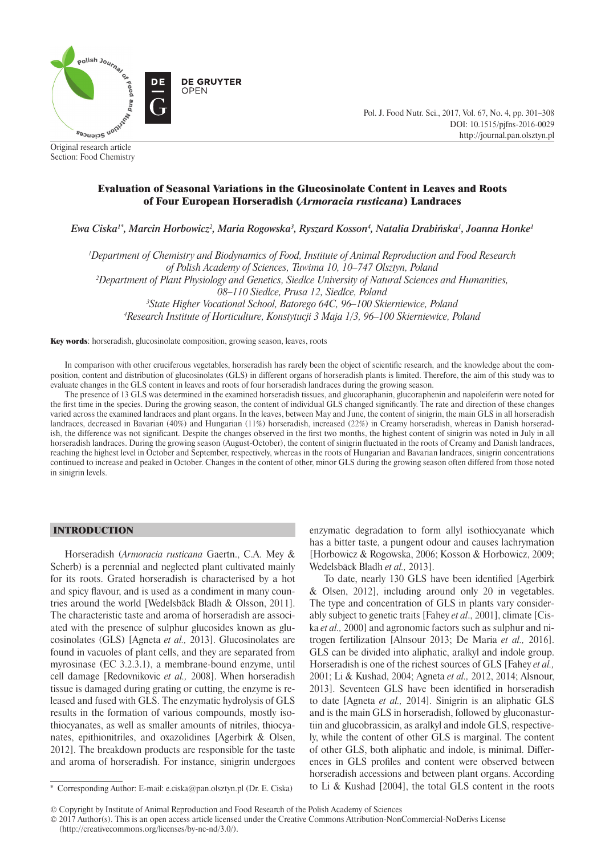

Original research article Section: Food Chemistry

# Evaluation of Seasonal Variations in the Glucosinolate Content in Leaves and Roots

 $E$ wa Ciska<sup>1</sup>\*, Marcin Horbowicz<sup>2</sup>, Maria Rogowska<sup>3</sup>, Ryszard Kosson<sup>4</sup>, Natalia Drabińska<sup>1</sup>, Joanna Honke<sup>1</sup>

of Four European Horseradish (*Armoracia rusticana*) Landraces

 *Department of Chemistry and Biodynamics of Food, Institute of Animal Reproduction and Food Research of Polish Academy of Sciences, Tuwima 10, 10–747 Olsztyn, Poland Department of Plant Physiology and Genetics, Siedlce University of Natural Sciences and Humanities, 08–110 Siedlce, Prusa 12, Siedlce, Poland State Higher Vocational School, Batorego 64C, 96–100 Skierniewice, Poland Research Institute of Horticulture, Konstytucji 3 Maja 1/3, 96–100 Skierniewice, Poland*

Key words: horseradish, glucosinolate composition, growing season, leaves, roots

In comparison with other cruciferous vegetables, horseradish has rarely been the object of scientific research, and the knowledge about the composition, content and distribution of glucosinolates (GLS) in different organs of horseradish plants is limited. Therefore, the aim of this study was to evaluate changes in the GLS content in leaves and roots of four horseradish landraces during the growing season.

The presence of 13 GLS was determined in the examined horseradish tissues, and glucoraphanin, glucoraphenin and napoleiferin were noted for the first time in the species. During the growing season, the content of individual GLS changed significantly. The rate and direction of these changes varied across the examined landraces and plant organs. In the leaves, between May and June, the content of sinigrin, the main GLS in all horseradish landraces, decreased in Bavarian (40%) and Hungarian (11%) horseradish, increased (22%) in Creamy horseradish, whereas in Danish horseradish, the difference was not significant. Despite the changes observed in the first two months, the highest content of sinigrin was noted in July in all horseradish landraces. During the growing season (August-October), the content of sinigrin fluctuated in the roots of Creamy and Danish landraces, reaching the highest level in October and September, respectively, whereas in the roots of Hungarian and Bavarian landraces, sinigrin concentrations continued to increase and peaked in October. Changes in the content of other, minor GLS during the growing season often differed from those noted in sinigrin levels.

# INTRODUCTION

Horseradish (*Armoracia rusticana* Gaertn., C.A. Mey & Scherb) is a perennial and neglected plant cultivated mainly for its roots. Grated horseradish is characterised by a hot and spicy flavour, and is used as a condiment in many countries around the world [Wedelsbäck Bladh & Olsson, 2011]. The characteristic taste and aroma of horseradish are associated with the presence of sulphur glucosides known as glucosinolates (GLS) [Agneta *et al.,* 2013]. Glucosinolates are found in vacuoles of plant cells, and they are separated from myrosinase (EC 3.2.3.1), a membrane-bound enzyme, until cell damage [Redovnikovic *et al.,* 2008]. When horseradish tissue is damaged during grating or cutting, the enzyme is released and fused with GLS. The enzymatic hydrolysis of GLS results in the formation of various compounds, mostly isothiocyanates, as well as smaller amounts of nitriles, thiocyanates, epithionitriles, and oxazolidines [Agerbirk & Olsen, 2012]. The breakdown products are responsible for the taste and aroma of horseradish. For instance, sinigrin undergoes enzymatic degradation to form allyl isothiocyanate which has a bitter taste, a pungent odour and causes lachrymation [Horbowicz & Rogowska, 2006; Kosson & Horbowicz, 2009; Wedelsbäck Bladh *et al.,* 2013].

Pol. J. Food Nutr. Sci., 2017, Vol. 67, No. 4, pp. 301–308

DOI: 10.1515/pjfns-2016-0029 http://journal.pan.olsztyn.pl

To date, nearly 130 GLS have been identified [Agerbirk & Olsen, 2012], including around only 20 in vegetables. The type and concentration of GLS in plants vary considerably subject to genetic traits [Fahey *et al*., 2001], climate [Ciska *et al.,* 2000] and agronomic factors such as sulphur and nitrogen fertilization [Alnsour 2013; De Maria *et al.,* 2016]. GLS can be divided into aliphatic, aralkyl and indole group. Horseradish is one of the richest sources of GLS [Fahey *et al.,* 2001; Li & Kushad, 2004; Agneta *et al.,* 2012, 2014; Alsnour, 2013]. Seventeen GLS have been identified in horseradish to date [Agneta *et al.,* 2014]. Sinigrin is an aliphatic GLS and is the main GLS in horseradish, followed by gluconasturtiin and glucobrassicin, as aralkyl and indole GLS, respectively, while the content of other GLS is marginal. The content of other GLS, both aliphatic and indole, is minimal. Differences in GLS profiles and content were observed between horseradish accessions and between plant organs. According to Li & Kushad [2004], the total GLS content in the roots

<sup>\*</sup> Corresponding Author: E-mail: e.ciska@pan.olsztyn.pl (Dr. E. Ciska)

<sup>©</sup> Copyright by Institute of Animal Reproduction and Food Research of the Polish Academy of Sciences

<sup>© 2017</sup> Author(s). This is an open access article licensed under the Creative Commons Attribution-NonCommercial-NoDerivs License (http://creativecommons.org/licenses/by-nc-nd/3.0/).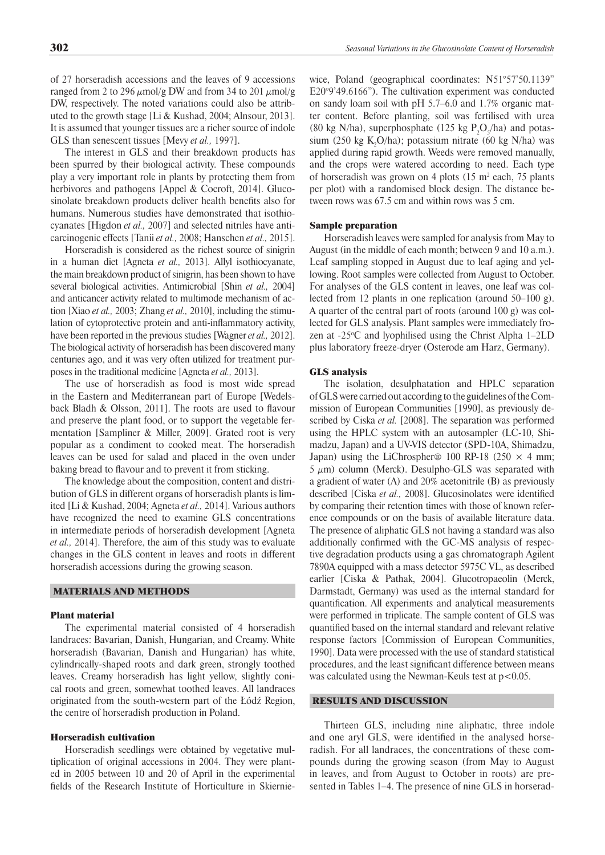of 27 horseradish accessions and the leaves of 9 accessions ranged from 2 to 296  $\mu$ mol/g DW and from 34 to 201  $\mu$ mol/g DW, respectively. The noted variations could also be attributed to the growth stage [Li & Kushad, 2004; Alnsour, 2013]. It is assumed that younger tissues are a richer source of indole GLS than senescent tissues [Mevy *et al.,* 1997].

The interest in GLS and their breakdown products has been spurred by their biological activity. These compounds play a very important role in plants by protecting them from herbivores and pathogens [Appel & Cocroft, 2014]. Glucosinolate breakdown products deliver health benefits also for humans. Numerous studies have demonstrated that isothiocyanates [Higdon *et al.,* 2007] and selected nitriles have anticarcinogenic effects [Tanii *et al.,* 2008; Hanschen *et al.,* 2015].

Horseradish is considered as the richest source of sinigrin in a human diet [Agneta *et al.,* 2013]. Allyl isothiocyanate, the main breakdown product of sinigrin, has been shown to have several biological activities. Antimicrobial [Shin *et al.,* 2004] and anticancer activity related to multimode mechanism of action [Xiao *et al.,* 2003; Zhang *et al.,* 2010], including the stimulation of cytoprotective protein and anti-inflammatory activity, have been reported in the previous studies [Wagner *et al.,* 2012]. The biological activity of horseradish has been discovered many centuries ago, and it was very often utilized for treatment purposes in the traditional medicine [Agneta *et al.,* 2013].

The use of horseradish as food is most wide spread in the Eastern and Mediterranean part of Europe [Wedelsback Bladh  $& Olsson, 2011$ . The roots are used to flavour and preserve the plant food, or to support the vegetable fermentation [Sampliner & Miller, 2009]. Grated root is very popular as a condiment to cooked meat. The horseradish leaves can be used for salad and placed in the oven under baking bread to flavour and to prevent it from sticking.

The knowledge about the composition, content and distribution of GLS in different organs of horseradish plants is limited [Li & Kushad, 2004; Agneta *et al.,* 2014]. Various authors have recognized the need to examine GLS concentrations in intermediate periods of horseradish development [Agneta *et al.,* 2014]. Therefore, the aim of this study was to evaluate changes in the GLS content in leaves and roots in different horseradish accessions during the growing season.

# MATERIALS AND METHODS

## Plant material

The experimental material consisted of 4 horseradish landraces: Bavarian, Danish, Hungarian, and Creamy. White horseradish (Bavarian, Danish and Hungarian) has white, cylindrically-shaped roots and dark green, strongly toothed leaves. Creamy horseradish has light yellow, slightly conical roots and green, somewhat toothed leaves. All landraces originated from the south-western part of the Łódź Region, the centre of horseradish production in Poland.

## Horseradish cultivation

Horseradish seedlings were obtained by vegetative multiplication of original accessions in 2004. They were planted in 2005 between 10 and 20 of April in the experimental fields of the Research Institute of Horticulture in Skierniewice, Poland (geographical coordinates: N51°57'50.1139" E20°9'49.6166"). The cultivation experiment was conducted on sandy loam soil with pH 5.7–6.0 and 1.7% organic matter content. Before planting, soil was fertilised with urea (80 kg N/ha), superphosphate (125 kg  $P_2O_5/ha$ ) and potassium (250 kg  $K_2O/ha$ ); potassium nitrate (60 kg N/ha) was applied during rapid growth. Weeds were removed manually, and the crops were watered according to need. Each type of horseradish was grown on 4 plots  $(15 \text{ m}^2 \text{ each}, 75 \text{ plants})$ per plot) with a randomised block design. The distance between rows was 67.5 cm and within rows was 5 cm.

# Sample preparation

Horseradish leaves were sampled for analysis from May to August (in the middle of each month; between 9 and 10 a.m.). Leaf sampling stopped in August due to leaf aging and yellowing. Root samples were collected from August to October. For analyses of the GLS content in leaves, one leaf was collected from 12 plants in one replication (around 50–100 g). A quarter of the central part of roots (around 100 g) was collected for GLS analysis. Plant samples were immediately frozen at  $-25^{\circ}$ C and lyophilised using the Christ Alpha 1–2LD plus laboratory freeze-dryer (Osterode am Harz, Germany).

#### GLS analysis

The isolation, desulphatation and HPLC separation of GLS were carried out according to the guidelines of the Commission of European Communities [1990], as previously described by Ciska *et al.* [2008]. The separation was performed using the HPLC system with an autosampler (LC-10, Shimadzu, Japan) and a UV-VIS detector (SPD-10A, Shimadzu, Japan) using the LiChrospher® 100 RP-18 (250  $\times$  4 mm;  $5 \mu m$ ) column (Merck). Desulpho-GLS was separated with a gradient of water (A) and 20% acetonitrile (B) as previously described [Ciska et al., 2008]. Glucosinolates were identified by comparing their retention times with those of known reference compounds or on the basis of available literature data. The presence of aliphatic GLS not having a standard was also additionally confirmed with the GC-MS analysis of respective degradation products using a gas chromatograph Agilent 7890A equipped with a mass detector 5975C VL, as described earlier [Ciska & Pathak, 2004]. Glucotropaeolin (Merck, Darmstadt, Germany) was used as the internal standard for quantification. All experiments and analytical measurements were performed in triplicate. The sample content of GLS was quantified based on the internal standard and relevant relative response factors [Commission of European Communities, 1990]. Data were processed with the use of standard statistical procedures, and the least significant difference between means was calculated using the Newman-Keuls test at  $p < 0.05$ .

## RESULTS AND DISCUSSION

Thirteen GLS, including nine aliphatic, three indole and one aryl GLS, were identified in the analysed horseradish. For all landraces, the concentrations of these compounds during the growing season (from May to August in leaves, and from August to October in roots) are presented in Tables 1–4. The presence of nine GLS in horserad-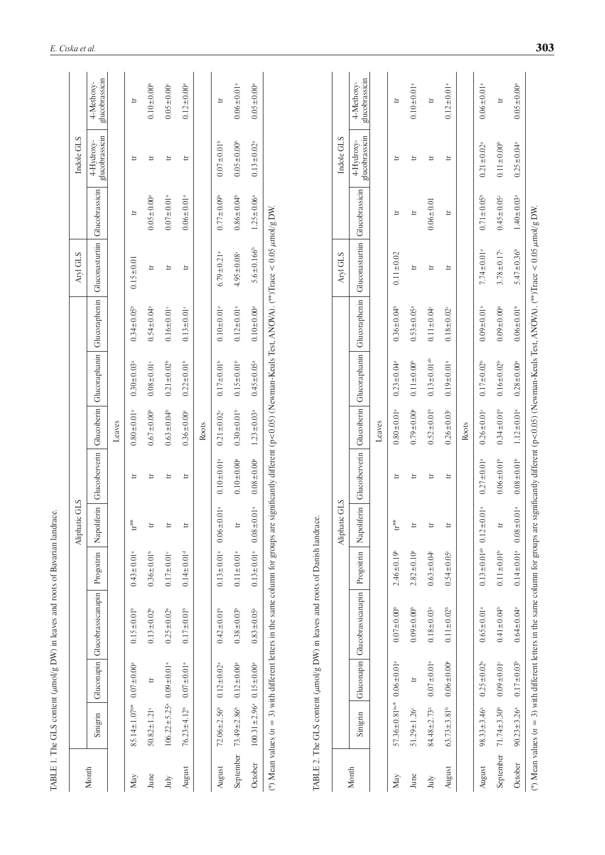|                             |                                |                              |                                                                                                                                                                                     |                               | Aliphatic GLS                |                               |                              |                               |                              | Aryl GLS                     |                              | Indole GLS                   |                              |
|-----------------------------|--------------------------------|------------------------------|-------------------------------------------------------------------------------------------------------------------------------------------------------------------------------------|-------------------------------|------------------------------|-------------------------------|------------------------------|-------------------------------|------------------------------|------------------------------|------------------------------|------------------------------|------------------------------|
| Month                       | Sinigrin                       | Gluconapin                   | Glucobrassicanapin                                                                                                                                                                  | Progoitrin                    | Napoliferin                  | Glucoiberverin                | Glucoiberin                  | Glucoraphanin                 | Glucoraphenin                | Gluconasturtiin              | Glucobrassicin               | glucobrassicin<br>4-Hydroxy- | glucobrassicin<br>4-Methoxy- |
|                             |                                |                              |                                                                                                                                                                                     |                               |                              |                               | Leaves                       |                               |                              |                              |                              |                              |                              |
| May                         | $85.14 \pm 1.07$ <sup>p*</sup> | $0.07 \pm 0.00$ <sup>a</sup> | $0.15 \pm 0.01$ <sup>b</sup>                                                                                                                                                        | $0.43 \pm 0.01$ <sup>a</sup>  | $\textbf{u}^{**}$            | Ħ                             | $0.80 \pm 0.01$ <sup>a</sup> | $0.30 \pm 0.03$ <sup>a</sup>  | $0.34 \pm 0.05^b$            | $0.15 \pm 0.01$              | H                            | $\overline{\mathbf{u}}$      | Ħ                            |
| June                        | $50.82 \pm 1.21$ <sup>c</sup>  | Ħ                            | $0.13 \pm 0.02^b$                                                                                                                                                                   | $0.36 \pm 0.01^b$             |                              | Ħ                             | $0.67 + 0.00$ <sup>b</sup>   | $0.08 \pm 0.01$               | $0.54 \pm 0.04$ <sup>a</sup> | $\overline{\mathbf{u}}$      | $0.05 \pm 0.00$ <sup>a</sup> | $\overline{\mathbf{u}}$      | $0.10 \pm 0.00^{\circ}$      |
| $\mathop{\rm Juy}\nolimits$ | $106.22 \pm 5.25^a$            | $0.09 \pm 0.01$ <sup>a</sup> | $0.25 \pm 0.02$ <sup>a</sup>                                                                                                                                                        | $0.17 \pm 0.01$               |                              | Ħ                             | $0.63 \pm 0.04$ <sup>b</sup> | $0.21 \pm 0.02^b$             | $0.16 \pm 0.01$ <sup>c</sup> | Ħ                            | $0.07 \pm 0.01$ <sup>a</sup> | $\overline{\mathbf{u}}$      | $0.05 \pm 0.00$ <sup>c</sup> |
| August                      | $76.23 \pm 4.12^b$             | $0.07 \pm 0.01$ <sup>a</sup> | $0.17 \pm 0.01^b$                                                                                                                                                                   | $0.14 \pm 0.01$ <sup>d</sup>  |                              | Ħ                             | $0.36 \pm 0.00$              | $0.22 \pm 0.01^b$             | $0.13 \pm 0.01$ <sup>c</sup> | Ħ                            | $0.06 \pm 0.01^a$            | $\overline{\mathbf{u}}$      | $0.12 \pm 0.00$ <sup>a</sup> |
|                             |                                |                              |                                                                                                                                                                                     |                               |                              |                               | Roots                        |                               |                              |                              |                              |                              |                              |
| August                      | $72.06 \pm 2.56$ <sup>b</sup>  | $0.12 \pm 0.02$ <sup>a</sup> | $0.42 \pm 0.01$ <sup>b</sup>                                                                                                                                                        | $0.13 \pm 0.01$ <sup>a</sup>  | $0.06 \pm 0.01$ <sup>a</sup> | $0.10 \pm 0.01$ <sup>a</sup>  | $0.21 \pm 0.02$ <sup>c</sup> | $0.17 \pm 0.01$ <sup>b</sup>  | $0.10 \pm 0.01$ <sup>a</sup> | $6.79 \pm 0.21$ <sup>a</sup> | $0.77 \pm 0.09$              | $0.07 \pm 0.01$              | Ħ                            |
| September                   | $73.49 \pm 2.86^{\circ}$       | $0.12 \pm 0.00$ <sup>a</sup> | $0.38 \pm 0.03$ <sup>b</sup>                                                                                                                                                        | $0.11 \pm 0.01$ <sup>a</sup>  |                              | $0.10 \pm 0.00$ <sup>a</sup>  | $0.30 \pm 0.01^{\rm b}$      | $0.15 \pm 0.01^b$             | $0.12 \pm 0.01$ <sup>a</sup> | $4.95 \pm 0.08$              | $0.86 \pm 0.04$ <sup>b</sup> | $0.05 \pm 0.00$ <sup>b</sup> | $0.06 \pm 0.01$ <sup>a</sup> |
| October                     | $100.31 \pm 2.96^a$            | $0.15 \pm 0.00$ <sup>a</sup> | $0.83 \pm 0.05$ <sup>a</sup>                                                                                                                                                        | $0.13 \pm 0.01$ <sup>a</sup>  | $0.08 \pm 0.01$ <sup>a</sup> | $0.08 \pm 0.00$ <sup>a</sup>  | $1.23 \pm 0.03$ <sup>a</sup> | $0.45 \pm 0.05$ <sup>a</sup>  | $0.10 \pm 0.00$ <sup>a</sup> | $5.6 \pm 0.166$ <sup>b</sup> | $1.25 \pm 0.06^a$            | $0.13 \pm 0.02$ <sup>a</sup> | $0.05 \pm 0.00$ <sup>a</sup> |
|                             |                                |                              |                                                                                                                                                                                     |                               | Aliphatic GLS                |                               |                              |                               |                              | Aryl GLS                     |                              | Indole GLS                   |                              |
| Month                       | Sinigrin                       | Gluconapin                   | Glucobrassicanapin                                                                                                                                                                  | Progoitrin                    | Napoliferin                  | Glucoiberverin                | Glucoiberin                  | Glucoraphanin                 | Glucoraphenin                | Gluconasturtiin              | Glucobrassicin               | glucobrassicin<br>4-Hydroxy- | glucobrassicin<br>4-Methoxy- |
|                             |                                |                              |                                                                                                                                                                                     |                               |                              |                               | Leaves                       |                               |                              |                              |                              |                              |                              |
| May                         | 57.36±0.81bc*                  | $0.06 \pm 0.01$ <sup>a</sup> | $0.07 + 0.00$                                                                                                                                                                       | $2.46 \pm 0.19^b$             | $\operatorname{tr}^{**}$     | Ħ                             | $0.80 \pm 0.01$ <sup>a</sup> | $0.23 \pm 0.04$ <sup>a</sup>  | $0.36 \pm 0.04^b$            | $0.11 \pm 0.02$              | Ħ                            | $\Xi$                        | Ħ                            |
| June                        | $51.29 \pm 1.26$               | Ħ                            | $0.09 \pm 0.00$                                                                                                                                                                     | $2.82 \pm 0.10$ <sup>a</sup>  |                              | Ħ                             | $0.79 \pm 0.00$ <sup>a</sup> | $0.11 \pm 0.00^{\circ}$       | $0.53 \pm 0.05^a$            | Ħ                            | $\overline{u}$               | Ħ                            | $0.10 \pm 0.01$ <sup>a</sup> |
| July                        | $84.48 \pm 2.73$ <sup>a</sup>  | $0.07 \pm 0.01$ <sup>a</sup> | $0.18 + 0.03$ <sup>a</sup>                                                                                                                                                          | $0.63 + 0.04$                 |                              | $\overleftarrow{\phantom{a}}$ | $0.52 \pm 0.01$              | $0.13 \pm 0.01$ <sup>ab</sup> | $0.11 \pm 0.04$              | $\Box$                       | $0.06 \pm 0.01$              | $\Box$                       | $\overline{\mathbf{u}}$      |
| August                      | $63.73 \pm 3.81^b$             | $0.06 \pm 0.00$ <sup>a</sup> | $0.11 \pm 0.02^b$                                                                                                                                                                   | $0.54 \pm 0.05$               |                              | Ħ                             | $0.26 \pm 0.03$              | $0.19 \pm 0.01$ <sup>a</sup>  | $0.18 \pm 0.02$ <sup>c</sup> | Ħ                            | Ħ                            | Ħ                            | $0.12 \pm 0.01$ <sup>a</sup> |
|                             |                                |                              |                                                                                                                                                                                     |                               |                              |                               | Roots                        |                               |                              |                              |                              |                              |                              |
| August                      | $98.33 \pm 3.46^a$             | $0.25 \pm 0.02^a$            | $0.65 \pm 0.01$ <sup>a</sup>                                                                                                                                                        | $0.13 \pm 0.01$ <sup>ab</sup> | $0.12 \pm 0.01$ <sup>a</sup> | $0.27 \pm 0.01^a$             | $0.26 \pm 0.01$ °            | $0.17 \pm 0.02^b$             | $0.09 \pm 0.01$ <sup>a</sup> | $7.74 \pm 0.01$ <sup>a</sup> | $0.71 \pm 0.05^{\circ}$      | $0.21 \pm 0.02$ <sup>a</sup> | $0.06 \pm 0.01$ <sup>a</sup> |
| September                   | $71.74 \pm 3.30^{\circ}$       | $0.09 \pm 0.01$ <sup>c</sup> | $0.41 \pm 0.04$ <sup>b</sup>                                                                                                                                                        | $0.11 \pm 0.01$ <sup>b</sup>  |                              | $0.06 \pm 0.01$ <sup>b</sup>  | $0.34 \pm 0.01$ <sup>b</sup> | $0.16 \pm 0.02^b$             | $0.09 \pm 0.00$ <sup>a</sup> | $3.78 \pm 0.17$ °            | $0.45 \pm 0.05$              | $0.11 \pm 0.00$ <sup>b</sup> | $\overline{u}$               |
| October                     | $90.23 \pm 3.26^a$             | $0.17 \pm 0.03$ <sup>b</sup> | $0.64 \pm 0.04$ <sup>a</sup>                                                                                                                                                        | $0.14 \pm 0.01$ <sup>a</sup>  | $0.08 \pm 0.01$ <sup>a</sup> | $0.08 \pm 0.01$ <sup>b</sup>  | $1.12 \pm 0.01$ <sup>a</sup> | $0.28 \pm 0.00$ <sup>a</sup>  | $0.06 \pm 0.01^b$            | $5.47 \pm 0.36$              | $1.40 \pm 0.03$ <sup>a</sup> | $0.25 \pm 0.04$ <sup>a</sup> | $0.05 \pm 0.00$ <sup>a</sup> |
|                             |                                |                              | (*) Mean values ( $n = 3$ ) with different letters in the same column for groups are significantly different (p<0.05) (Newman-Keuls Test, ANOVA). (**) Trace < 0.05 $\mu$ mol/g DW. |                               |                              |                               |                              |                               |                              |                              |                              |                              |                              |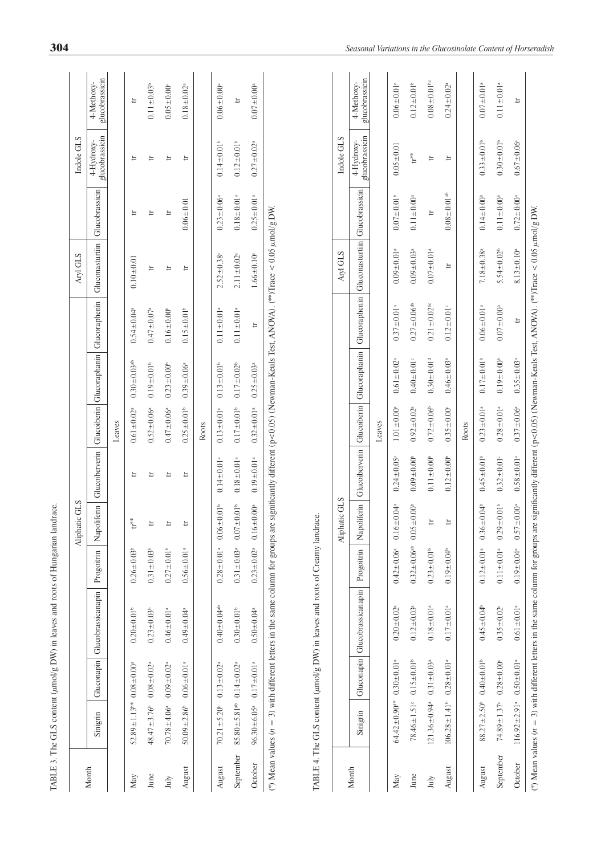|              |                                |                              |                                                                                      |                               | Aliphatic GLS                |                              |                              |                               |                               | Aryl GLS                                                                                             |                               | Indole GLS                   |                               |
|--------------|--------------------------------|------------------------------|--------------------------------------------------------------------------------------|-------------------------------|------------------------------|------------------------------|------------------------------|-------------------------------|-------------------------------|------------------------------------------------------------------------------------------------------|-------------------------------|------------------------------|-------------------------------|
| Month        | Sinigrin                       | Gluconapin                   | Glucobrassicanapin                                                                   | Progoitrin                    | Napoliferin                  | Glucoiberverin               |                              | Glucoiberin Glucoraphanin     | Glucoraphenin                 | Gluconasturtiin                                                                                      | Glucobrassicin                | glucobrassicin<br>4-Hydroxy- | glucobrassicin<br>4-Methoxy-  |
|              |                                |                              |                                                                                      |                               |                              |                              | Leaves                       |                               |                               |                                                                                                      |                               |                              |                               |
| $\text{May}$ | $52.89 \pm 1.13$ <sup>b*</sup> | $0.08 \pm 0.00$ <sup>a</sup> | $0.20 \pm 0.01$                                                                      | $0.26 \pm 0.03$               | ${\rm tr}^{**}$              | Ħ                            | $0.61 \pm 0.02$ <sup>a</sup> | $0.30 \pm 0.03$ <sup>ab</sup> | $0.54 \pm 0.04$ <sup>a</sup>  | $0.10 \pm 0.01$                                                                                      | Ħ                             | $\Box$                       | $\overline{\mathbf{u}}$       |
| June         | $48.47 \pm 3.76$               | $0.08 \pm 0.02$ <sup>a</sup> | $0.23 \pm 0.03$ <sup>b</sup>                                                         | $0.31 \pm 0.03$ <sup>b</sup>  | Ξ                            | 出                            | $0.52 \pm 0.06$ <sup>a</sup> | $0.19 \pm 0.01$               | $0.47 \pm 0.07$ <sup>a</sup>  | Ħ                                                                                                    | Ħ                             | $\mathbf{H}$                 | $0.11 \pm 0.03$ <sup>b</sup>  |
| July         | $70.78 \pm 4.06^a$             | $0.09 \pm 0.02$ <sup>a</sup> | $0.46 \pm 0.01$ <sup>a</sup>                                                         | $0.27 \pm 0.01$ <sup>b</sup>  |                              | Ħ                            | $0.47 \pm 0.06$ <sup>a</sup> | $0.23 \pm 0.00$ <sup>b</sup>  | $0.16 \pm 0.00^{\circ}$       | Ħ                                                                                                    | Ħ                             | $\overline{u}$               | $0.05 \pm 0.00$               |
| August       | $50.09 \pm 2.86$ <sup>b</sup>  | $0.06 \pm 0.01$ <sup>a</sup> | $0.49 \pm 0.04$ <sup>a</sup>                                                         | $0.56 \pm 0.01$ <sup>a</sup>  |                              | $\Xi$                        | $0.25 \pm 0.01$              | $0.39 \pm 0.06^a$             | $0.15 \pm 0.01^b$             | $\Xi$                                                                                                | $0.06 \pm 0.01$               | $\Box$                       | $0.18 \pm 0.02$ <sup>a</sup>  |
|              |                                |                              |                                                                                      |                               |                              |                              | Roots                        |                               |                               |                                                                                                      |                               |                              |                               |
| August       | $70.21 \pm 5.20^{\circ}$       | $0.13 \pm 0.02$ <sup>a</sup> | $0.40 \pm 0.04$ <sup>ab</sup>                                                        | $0.28 \pm 0.01$ <sup>a</sup>  | $0.06 \pm 0.01^b$            | $0.14 \pm 0.01$ <sup>a</sup> | $0.13 \pm 0.01$              | $0.13 \pm 0.01$ <sup>b</sup>  | $0.11 \pm 0.01$ <sup>a</sup>  | $2.52 \pm 0.38$ <sup>a</sup>                                                                         | $0.23 \pm 0.06^a$             | $0.14 \pm 0.01$ <sup>b</sup> | $0.06 \pm 0.00$ <sup>a</sup>  |
| September    | $85.80 \pm 5.81$ <sup>ab</sup> | $0.14 \pm 0.02$ <sup>a</sup> | $0.30 \pm 0.01$ <sup>b</sup>                                                         | $0.31 \pm 0.03$ <sup>a</sup>  | $0.07 \pm 0.01$ <sup>b</sup> | $0.18 \pm 0.01$ <sup>a</sup> | $0.17 \pm 0.01$              | $0.17 \pm 0.02^b$             | $0.11 \pm 0.01$ <sup>a</sup>  | $2.11 \pm 0.02$ <sup>a</sup>                                                                         | $0.18 \pm 0.01^a$             | $0.12 \pm 0.01$              | $\overline{\mathbf{u}}$       |
| October      | $96.30 \pm 6.05$ <sup>a</sup>  | $0.17 \pm 0.01$ <sup>a</sup> | $0.50 \pm 0.04$ <sup>a</sup>                                                         | $0.23 \pm 0.02$ <sup>a</sup>  | $0.16 \pm 0.00$ <sup>a</sup> | $0.19 \pm 0.01$ <sup>a</sup> | $0.32 \pm 0.01^a$            | $0.25 \pm 0.03$ <sup>a</sup>  | $\Xi$                         | $1.66 \pm 0.10$ <sup>a</sup>                                                                         | $0.25 \pm 0.01$ <sup>a</sup>  | $0.27 \pm 0.02$ <sup>a</sup> | $0.07 \pm 0.00$ <sup>a</sup>  |
|              |                                |                              |                                                                                      |                               | Aliphatic GLS                |                              |                              |                               |                               | Aryl GLS                                                                                             |                               | Indole GLS                   |                               |
| Month        | Sinigrin                       | Gluconapin                   | Glucobrassicanapin                                                                   | Progoitrin                    | Napoliferin                  | Glucoiberverin               | Glucoiberin                  | Glucoraphanin                 | Glucoraphenin                 | Gluconasturtiin Glucobrassicin                                                                       |                               | glucobrassicin<br>4-Hydroxy- | glucobrassicin<br>4-Methoxy-  |
|              |                                |                              |                                                                                      |                               |                              |                              | Leaves                       |                               |                               |                                                                                                      |                               |                              |                               |
| May          | $64.42 \pm 0.90$ <sup>d*</sup> | $0.30 \pm 0.01$ <sup>a</sup> | $0.20 \pm 0.02$ <sup>a</sup>                                                         | $0.42 \pm 0.06^a$             | $0.16 \pm 0.04$ <sup>a</sup> | $0.24 \pm 0.05$ <sup>a</sup> | $1.01 \pm 0.00$ <sup>a</sup> | $0.61 \pm 0.02$ <sup>a</sup>  | $0.37 \pm 0.01$ <sup>a</sup>  | $0.09 \pm 0.01$ <sup>a</sup>                                                                         | $0.07 \pm 0.01$ <sup>b</sup>  | $0.05 \pm 0.01$              | $0.06 \pm 0.01$ <sup>c</sup>  |
| June         | $78.46 \pm 1.51$ <sup>c</sup>  | $0.15 \pm 0.01$              | $0.12 \pm 0.03$ <sup>a</sup>                                                         | $0.32 \pm 0.06$ <sup>ab</sup> | $0.05 \pm 0.00$              | $0.09 \pm 0.00$              | $0.92 \pm 0.02$ <sup>a</sup> | $0.40 \pm 0.01$ <sup>c</sup>  | $0.27 \pm 0.06$ <sup>ab</sup> | $0.09 \pm 0.03$ <sup>a</sup>                                                                         | $0.11 \pm 0.00$ <sup>a</sup>  | $\operatorname{tr}^{**}$     | $0.12 \pm 0.01$               |
| July         | $121.36 \pm 0.94$ <sup>a</sup> | $0.31 \pm 0.03$ <sup>a</sup> | $0.18 \pm 0.01$ <sup>a</sup>                                                         | $0.23 \pm 0.01$ <sup>b</sup>  | $\overline{a}$               | $0.11 \pm 0.00^{\circ}$      | $0.72 \pm 0.06$ <sup>b</sup> | $0.30 \pm 0.01$ <sup>d</sup>  | $0.21 \pm 0.02$ bc            | $0.07 \pm 0.01$ <sup>a</sup>                                                                         | $\overline{\phantom{a}}$      | $\overline{\mathbf{u}}$      | $0.08 \pm 0.01$ <sup>bc</sup> |
| August       | $106.28 \pm 1.41^b$            | $0.28 \pm 0.01$ <sup>a</sup> | $0.17 \pm 0.01$ <sup>a</sup>                                                         | $0.19 \pm 0.04^{\circ}$       | Е                            | $0.12 \pm 0.00$ <sup>b</sup> | $0.35 \pm 0.00$ <sup>c</sup> | $0.46 \pm 0.03^b$             | $0.12 \pm 0.01$ <sup>c</sup>  | Ħ                                                                                                    | $0.08 \pm 0.01$ <sup>ab</sup> | $\ddot{u}$                   | $0.24 \pm 0.02$ <sup>a</sup>  |
|              |                                |                              |                                                                                      |                               |                              |                              | Roots                        |                               |                               |                                                                                                      |                               |                              |                               |
| August       | $88.27 \pm 2.50^{\circ}$       | $0.40 \pm 0.01$ <sup>b</sup> | $0.45 \pm 0.04$ <sup>b</sup>                                                         | $0.12 \pm 0.01$ <sup>a</sup>  | $0.36 \pm 0.04^{\circ}$      | $0.45 \pm 0.01$ <sup>b</sup> | $0.23 \pm 0.01$ <sup>a</sup> | $0.17 \pm 0.01$ <sup>b</sup>  | $0.06 \pm 0.01$ <sup>a</sup>  | $7.18 \pm 0.38$ <sup>a</sup>                                                                         | $0.14 \pm 0.00^{\circ}$       | $0.33 \pm 0.01$ <sup>b</sup> | $0.07\pm0.01^{\rm a}$         |
| September    | $74.89 \pm 1.37$ <sup>c</sup>  | $0.28 \pm 0.00$              | $0.35 \pm 0.02$ <sup>c</sup>                                                         | $0.11 \pm 0.01^a$             | $0.29 \pm 0.01$ <sup>b</sup> | $0.32 \pm 0.01$ <sup>c</sup> | $0.28 \pm 0.01$ <sup>a</sup> | $0.19 \pm 0.00^{\circ}$       | $0.07 \pm 0.00$ <sup>a</sup>  | $5.54 \pm 0.02^b$                                                                                    | $0.11 \pm 0.00^{\circ}$       | $0.30 \pm 0.01^{\rm b}$      | $0.11 \pm 0.01$ <sup>a</sup>  |
| October      | $116.92 \pm 2.91^a$            | $0.50 \pm 0.01^a$            | $0.61 \pm 0.01a$                                                                     | $0.19 \pm 0.04$ <sup>a</sup>  | $0.57 \pm 0.00$ <sup>a</sup> | $0.58 \pm 0.01$ <sup>a</sup> | $0.37 \pm 0.06^a$            | $0.35 \pm 0.03$               | $\overline{\mathbf{u}}$       | $8.13 \pm 0.10$ <sup>a</sup>                                                                         | $0.72 \pm 0.00^a$             | $0.67 \pm 0.06$ <sup>a</sup> | $\overline{a}$                |
|              |                                |                              | (*) Mean values ( $n = 3$ ) with different letters in the same column for groups are |                               |                              |                              |                              |                               |                               | significantly different ( $p < 0.05$ ) (Newman-Keuls Test, ANOVA). (**) Trace $< 0.05 \mu m d/g$ DW. |                               |                              |                               |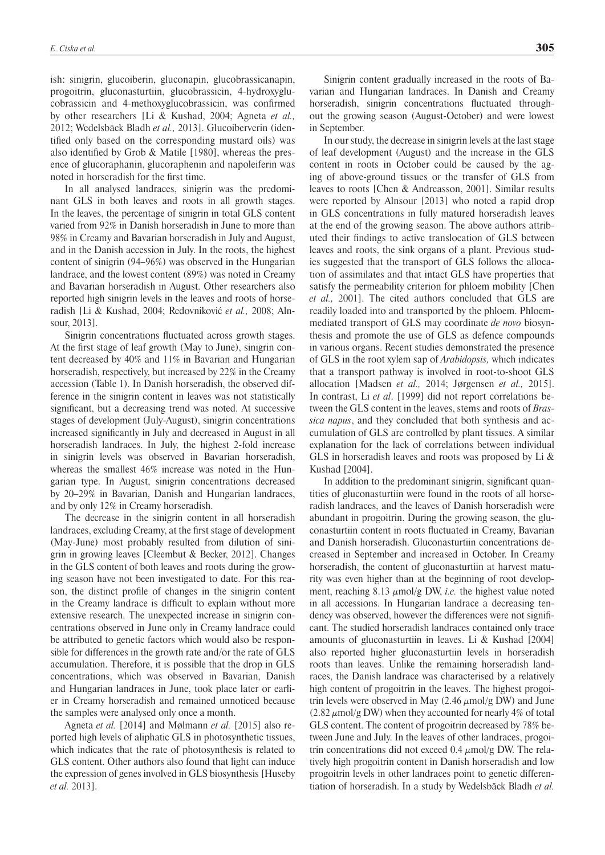ish: sinigrin, glucoiberin, gluconapin, glucobrassicanapin, progoitrin, gluconasturtiin, glucobrassicin, 4-hydroxyglucobrassicin and 4-methoxyglucobrassicin, was confirmed by other researchers [Li & Kushad, 2004; Agneta *et al.,* 2012; Wedelsbäck Bladh *et al.,* 2013]. Glucoiberverin (identified only based on the corresponding mustard oils) was also identified by Grob & Matile  $[1980]$ , whereas the presence of glucoraphanin, glucoraphenin and napoleiferin was noted in horseradish for the first time.

In all analysed landraces, sinigrin was the predominant GLS in both leaves and roots in all growth stages. In the leaves, the percentage of sinigrin in total GLS content varied from 92% in Danish horseradish in June to more than 98% in Creamy and Bavarian horseradish in July and August, and in the Danish accession in July. In the roots, the highest content of sinigrin (94–96%) was observed in the Hungarian landrace, and the lowest content (89%) was noted in Creamy and Bavarian horseradish in August. Other researchers also reported high sinigrin levels in the leaves and roots of horseradish [Li & Kushad, 2004; Redovniković *et al.,* 2008; Alnsour, 2013].

Sinigrin concentrations fluctuated across growth stages. At the first stage of leaf growth (May to June), sinigrin content decreased by 40% and 11% in Bavarian and Hungarian horseradish, respectively, but increased by 22% in the Creamy accession (Table 1). In Danish horseradish, the observed difference in the sinigrin content in leaves was not statistically significant, but a decreasing trend was noted. At successive stages of development (July-August), sinigrin concentrations increased significantly in July and decreased in August in all horseradish landraces. In July, the highest 2-fold increase in sinigrin levels was observed in Bavarian horseradish, whereas the smallest 46% increase was noted in the Hungarian type. In August, sinigrin concentrations decreased by 20–29% in Bavarian, Danish and Hungarian landraces, and by only 12% in Creamy horseradish.

The decrease in the sinigrin content in all horseradish landraces, excluding Creamy, at the first stage of development (May-June) most probably resulted from dilution of sinigrin in growing leaves [Cleembut & Becker, 2012]. Changes in the GLS content of both leaves and roots during the growing season have not been investigated to date. For this reason, the distinct profile of changes in the sinigrin content in the Creamy landrace is difficult to explain without more extensive research. The unexpected increase in sinigrin concentrations observed in June only in Creamy landrace could be attributed to genetic factors which would also be responsible for differences in the growth rate and/or the rate of GLS accumulation. Therefore, it is possible that the drop in GLS concentrations, which was observed in Bavarian, Danish and Hungarian landraces in June, took place later or earlier in Creamy horseradish and remained unnoticed because the samples were analysed only once a month.

Agneta *et al.* [2014] and Mølmann *et al.* [2015] also reported high levels of aliphatic GLS in photosynthetic tissues, which indicates that the rate of photosynthesis is related to GLS content. Other authors also found that light can induce the expression of genes involved in GLS biosynthesis [Huseby *et al.* 2013].

Sinigrin content gradually increased in the roots of Bavarian and Hungarian landraces. In Danish and Creamy horseradish, sinigrin concentrations fluctuated throughout the growing season (August-October) and were lowest in September.

In our study, the decrease in sinigrin levels at the last stage of leaf development (August) and the increase in the GLS content in roots in October could be caused by the aging of above-ground tissues or the transfer of GLS from leaves to roots [Chen & Andreasson, 2001]. Similar results were reported by Alnsour [2013] who noted a rapid drop in GLS concentrations in fully matured horseradish leaves at the end of the growing season. The above authors attributed their findings to active translocation of GLS between leaves and roots, the sink organs of a plant. Previous studies suggested that the transport of GLS follows the allocation of assimilates and that intact GLS have properties that satisfy the permeability criterion for phloem mobility [Chen *et al.,* 2001]. The cited authors concluded that GLS are readily loaded into and transported by the phloem. Phloemmediated transport of GLS may coordinate *de novo* biosynthesis and promote the use of GLS as defence compounds in various organs. Recent studies demonstrated the presence of GLS in the root xylem sap of *Arabidopsis,* which indicates that a transport pathway is involved in root-to-shoot GLS allocation [Madsen *et al.,* 2014; Jørgensen *et al.,* 2015]. In contrast, Li *et al*. [1999] did not report correlations between the GLS content in the leaves, stems and roots of *Brassica napus*, and they concluded that both synthesis and accumulation of GLS are controlled by plant tissues. A similar explanation for the lack of correlations between individual GLS in horseradish leaves and roots was proposed by Li & Kushad [2004].

In addition to the predominant sinigrin, significant quantities of gluconasturtiin were found in the roots of all horseradish landraces, and the leaves of Danish horseradish were abundant in progoitrin. During the growing season, the gluconasturtiin content in roots fluctuated in Creamy, Bavarian and Danish horseradish. Gluconasturtiin concentrations decreased in September and increased in October. In Creamy horseradish, the content of gluconasturtiin at harvest maturity was even higher than at the beginning of root development, reaching 8.13 μmol/g DW, *i.e.* the highest value noted in all accessions. In Hungarian landrace a decreasing tendency was observed, however the differences were not significant. The studied horseradish landraces contained only trace amounts of gluconasturtiin in leaves. Li & Kushad [2004] also reported higher gluconasturtiin levels in horseradish roots than leaves. Unlike the remaining horseradish landraces, the Danish landrace was characterised by a relatively high content of progoitrin in the leaves. The highest progoitrin levels were observed in May  $(2.46 \mu \text{mol/g DW})$  and June  $(2.82 \mu mol/g$  DW) when they accounted for nearly 4% of total GLS content. The content of progoitrin decreased by 78% between June and July. In the leaves of other landraces, progoitrin concentrations did not exceed  $0.4 \mu$ mol/g DW. The relatively high progoitrin content in Danish horseradish and low progoitrin levels in other landraces point to genetic differentiation of horseradish. In a study by Wedelsbäck Bladh *et al.*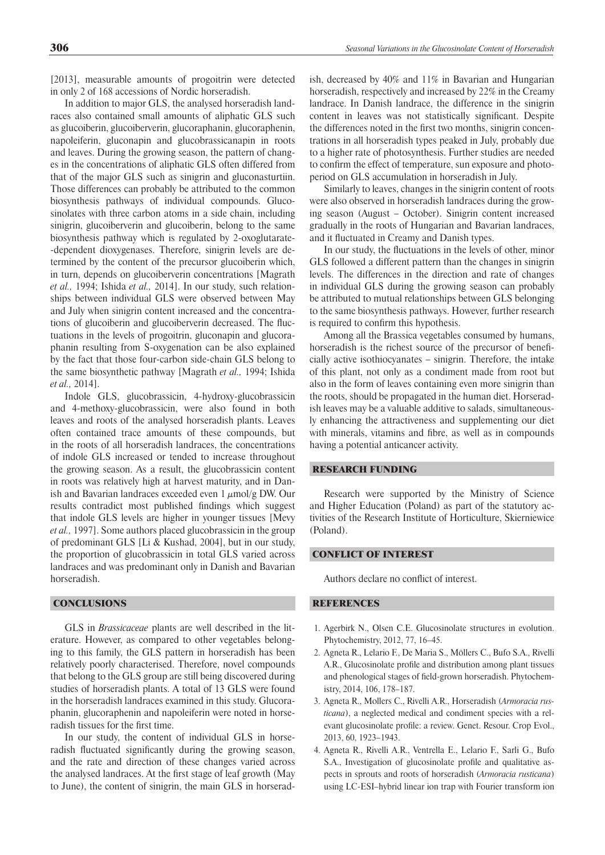[2013], measurable amounts of progoitrin were detected in only 2 of 168 accessions of Nordic horseradish.

In addition to major GLS, the analysed horseradish landraces also contained small amounts of aliphatic GLS such as glucoiberin, glucoiberverin, glucoraphanin, glucoraphenin, napoleiferin, gluconapin and glucobrassicanapin in roots and leaves. During the growing season, the pattern of changes in the concentrations of aliphatic GLS often differed from that of the major GLS such as sinigrin and gluconasturtiin. Those differences can probably be attributed to the common biosynthesis pathways of individual compounds. Glucosinolates with three carbon atoms in a side chain, including sinigrin, glucoiberverin and glucoiberin, belong to the same biosynthesis pathway which is regulated by 2-oxoglutarate- -dependent dioxygenases. Therefore, sinigrin levels are determined by the content of the precursor glucoiberin which, in turn, depends on glucoiberverin concentrations [Magrath *et al.,* 1994; Ishida *et al.,* 2014]. In our study, such relationships between individual GLS were observed between May and July when sinigrin content increased and the concentrations of glucoiberin and glucoiberverin decreased. The fluctuations in the levels of progoitrin, gluconapin and glucoraphanin resulting from S-oxygenation can be also explained by the fact that those four-carbon side-chain GLS belong to the same biosynthetic pathway [Magrath *et al.,* 1994; Ishida *et al.,* 2014].

Indole GLS, glucobrassicin, 4-hydroxy-glucobrassicin and 4-methoxy-glucobrassicin, were also found in both leaves and roots of the analysed horseradish plants. Leaves often contained trace amounts of these compounds, but in the roots of all horseradish landraces, the concentrations of indole GLS increased or tended to increase throughout the growing season. As a result, the glucobrassicin content in roots was relatively high at harvest maturity, and in Danish and Bavarian landraces exceeded even  $1 \mu$ mol/g DW. Our results contradict most published findings which suggest that indole GLS levels are higher in younger tissues [Mevy *et al.,* 1997]. Some authors placed glucobrassicin in the group of predominant GLS [Li & Kushad, 2004], but in our study, the proportion of glucobrassicin in total GLS varied across landraces and was predominant only in Danish and Bavarian horseradish.

# **CONCLUSIONS**

GLS in *Brassicaceae* plants are well described in the literature. However, as compared to other vegetables belonging to this family, the GLS pattern in horseradish has been relatively poorly characterised. Therefore, novel compounds that belong to the GLS group are still being discovered during studies of horseradish plants. A total of 13 GLS were found in the horseradish landraces examined in this study. Glucoraphanin, glucoraphenin and napoleiferin were noted in horseradish tissues for the first time.

In our study, the content of individual GLS in horseradish fluctuated significantly during the growing season, and the rate and direction of these changes varied across the analysed landraces. At the first stage of leaf growth (May to June), the content of sinigrin, the main GLS in horseradish, decreased by 40% and 11% in Bavarian and Hungarian horseradish, respectively and increased by 22% in the Creamy landrace. In Danish landrace, the difference in the sinigrin content in leaves was not statistically significant. Despite the differences noted in the first two months, sinigrin concentrations in all horseradish types peaked in July, probably due to a higher rate of photosynthesis. Further studies are needed to confirm the effect of temperature, sun exposure and photoperiod on GLS accumulation in horseradish in July.

Similarly to leaves, changes in the sinigrin content of roots were also observed in horseradish landraces during the growing season (August – October). Sinigrin content increased gradually in the roots of Hungarian and Bavarian landraces, and it fluctuated in Creamy and Danish types.

In our study, the fluctuations in the levels of other, minor GLS followed a different pattern than the changes in sinigrin levels. The differences in the direction and rate of changes in individual GLS during the growing season can probably be attributed to mutual relationships between GLS belonging to the same biosynthesis pathways. However, further research is required to confirm this hypothesis.

Among all the Brassica vegetables consumed by humans, horseradish is the richest source of the precursor of beneficially active isothiocyanates – sinigrin. Therefore, the intake of this plant, not only as a condiment made from root but also in the form of leaves containing even more sinigrin than the roots, should be propagated in the human diet. Horseradish leaves may be a valuable additive to salads, simultaneously enhancing the attractiveness and supplementing our diet with minerals, vitamins and fibre, as well as in compounds having a potential anticancer activity.

# RESEARCH FUNDING

Research were supported by the Ministry of Science and Higher Education (Poland) as part of the statutory activities of the Research Institute of Horticulture, Skierniewice (Poland).

## CONFLICT OF INTEREST

Authors declare no conflict of interest.

## **REFERENCES**

- 1. Agerbirk N., Olsen C.E. Glucosinolate structures in evolution. Phytochemistry, 2012, 77, 16–45.
- 2. Agneta R., Lelario F., De Maria S., Möllers C., Bufo S.A., Rivelli A.R., Glucosinolate profile and distribution among plant tissues and phenological stages of field-grown horseradish. Phytochemistry, 2014, 106, 178–187.
- 3. Agneta R., Mollers C., Rivelli A.R., Horseradish (*Armoracia rusticana*), a neglected medical and condiment species with a relevant glucosinolate profile: a review. Genet. Resour. Crop Evol., 2013, 60, 1923–1943.
- 4. Agneta R., Rivelli A.R., Ventrella E., Lelario F., Sarli G., Bufo S.A., Investigation of glucosinolate profile and qualitative aspects in sprouts and roots of horseradish (*Armoracia rusticana*) using LC-ESI–hybrid linear ion trap with Fourier transform ion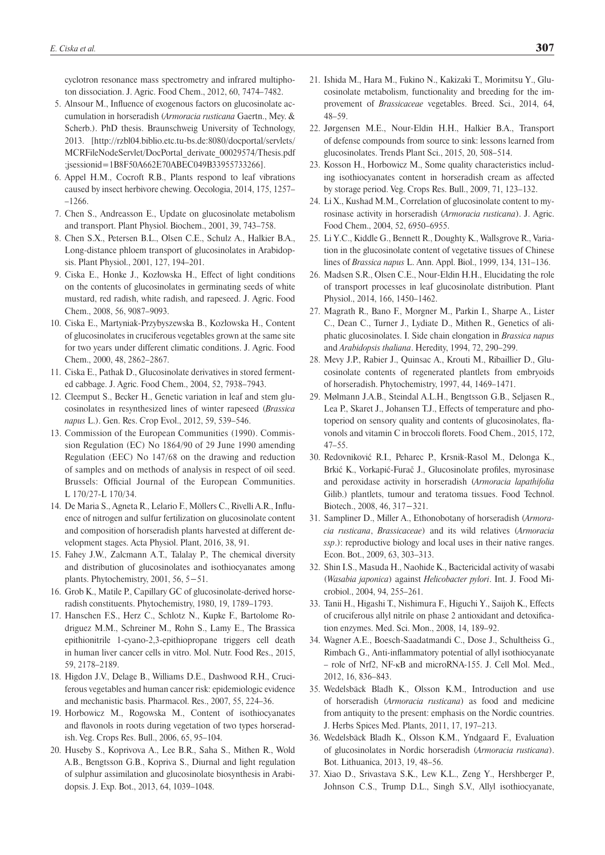cyclotron resonance mass spectrometry and infrared multiphoton dissociation. J. Agric. Food Chem., 2012, 60, 7474–7482.

- 5. Alnsour M., Influence of exogenous factors on glucosinolate accumulation in horseradish (*Armoracia rusticana* Gaertn., Mey. & Scherb.). PhD thesis. Braunschweig University of Technology, 2013. [http://rzbl04.biblio.etc.tu-bs.de:8080/docportal/servlets/ MCRFileNodeServlet/DocPortal\_derivate\_00029574/Thesis.pdf ;jsessionid=1B8F50A662E70ABEC049B33955733266].
- 6. Appel H.M., Cocroft R.B., Plants respond to leaf vibrations caused by insect herbivore chewing. Oecologia, 2014, 175, 1257– –1266.
- 7. Chen S., Andreasson E., Update on glucosinolate metabolism and transport. Plant Physiol. Biochem., 2001, 39, 743–758.
- 8. Chen S.X., Petersen B.L., Olsen C.E., Schulz A., Halkier B.A., Long-distance phloem transport of glucosinolates in Arabidopsis. Plant Physiol., 2001, 127, 194–201.
- 9. Ciska E., Honke J., Kozłowska H., Effect of light conditions on the contents of glucosinolates in germinating seeds of white mustard, red radish, white radish, and rapeseed. J. Agric. Food Chem., 2008, 56, 9087–9093.
- 10. Ciska E., Martyniak-Przybyszewska B., Kozłowska H., Content of glucosinolates in cruciferous vegetables grown at the same site for two years under different climatic conditions. J. Agric. Food Chem., 2000, 48, 2862–2867.
- 11. Ciska E., Pathak D., Glucosinolate derivatives in stored fermented cabbage. J. Agric. Food Chem., 2004, 52, 7938–7943.
- 12. Cleemput S., Becker H., Genetic variation in leaf and stem glucosinolates in resynthesized lines of winter rapeseed (*Brassica napus* L.). Gen. Res. Crop Evol., 2012, 59, 539–546.
- 13. Commission of the European Communities (1990). Commission Regulation (EC) No 1864/90 of 29 June 1990 amending Regulation (EEC) No 147/68 on the drawing and reduction of samples and on methods of analysis in respect of oil seed. Brussels: Official Journal of the European Communities. L 170/27-L 170/34.
- 14. De Maria S., Agneta R., Lelario F., Möllers C., Rivelli A.R., Influence of nitrogen and sulfur fertilization on glucosinolate content and composition of horseradish plants harvested at different development stages. Acta Physiol. Plant, 2016, 38, 91.
- 15. Fahey J.W., Zalcmann A.T., Talalay P., The chemical diversity and distribution of glucosinolates and isothiocyanates among plants. Phytochemistry, 2001, 56, 5−51.
- 16. Grob K., Matile P., Capillary GC of glucosinolate-derived horseradish constituents. Phytochemistry, 1980, 19, 1789–1793.
- 17. Hanschen F.S., Herz C., Schlotz N., Kupke F., Bartolome Rodriguez M.M., Schreiner M., Rohn S., Lamy E., The Brassica epithionitrile 1-cyano-2,3-epithiopropane triggers cell death in human liver cancer cells in vitro. Mol. Nutr. Food Res., 2015, 59, 2178–2189.
- 18. Higdon J.V., Delage B., Williams D.E., Dashwood R.H., Cruciferous vegetables and human cancer risk: epidemiologic evidence and mechanistic basis. Pharmacol. Res., 2007, 55, 224–36.
- 19. Horbowicz M., Rogowska M., Content of isothiocyanates and flavonols in roots during vegetation of two types horseradish. Veg. Crops Res. Bull., 2006, 65, 95–104.
- 20. Huseby S., Koprivova A., Lee B.R., Saha S., Mithen R., Wold A.B., Bengtsson G.B., Kopriva S., Diurnal and light regulation of sulphur assimilation and glucosinolate biosynthesis in Arabidopsis. J. Exp. Bot., 2013, 64, 1039–1048.
- 21. Ishida M., Hara M., Fukino N., Kakizaki T., Morimitsu Y., Glucosinolate metabolism, functionality and breeding for the improvement of *Brassicaceae* vegetables. Breed. Sci., 2014, 64, 48–59.
- 22. Jørgensen M.E., Nour-Eldin H.H., Halkier B.A., Transport of defense compounds from source to sink: lessons learned from glucosinolates. Trends Plant Sci., 2015, 20, 508–514.
- 23. Kosson H., Horbowicz M., Some quality characteristics including isothiocyanates content in horseradish cream as affected by storage period. Veg. Crops Res. Bull., 2009, 71, 123–132.
- 24. Li X., Kushad M.M., Correlation of glucosinolate content to myrosinase activity in horseradish (*Armoracia rusticana*). J. Agric. Food Chem., 2004, 52, 6950–6955.
- 25. Li Y.C., Kiddle G., Bennett R., Doughty K., Wallsgrove R., Variation in the glucosinolate content of vegetative tissues of Chinese lines of *Brassica napus* L. Ann. Appl. Biol., 1999, 134, 131–136.
- 26. Madsen S.R., Olsen C.E., Nour-Eldin H.H., Elucidating the role of transport processes in leaf glucosinolate distribution. Plant Physiol., 2014, 166, 1450–1462.
- 27. Magrath R., Bano F., Morgner M., Parkin I., Sharpe A., Lister C., Dean C., Turner J., Lydiate D., Mithen R., Genetics of aliphatic glucosinolates. I. Side chain elongation in *Brassica napus* and *Arabidopsis thaliana*. Heredity, 1994, 72, 290–299.
- 28. Mevy J.P., Rabier J., Quinsac A., Krouti M., Ribaillier D., Glucosinolate contents of regenerated plantlets from embryoids of horseradish. Phytochemistry, 1997, 44, 1469–1471.
- 29. Mølmann J.A.B., Steindal A.L.H., Bengtsson G.B., Seljasen R., Lea P., Skaret J., Johansen T.J., Effects of temperature and photoperiod on sensory quality and contents of glucosinolates, flavonols and vitamin C in broccoli florets. Food Chem., 2015, 172, 47–55.
- 30. Redovniković R.I., Peharec P., Krsnik-Rasol M., Delonga K., Brkić K., Vorkapić-Furač J., Glucosinolate profiles, myrosinase and peroxidase activity in horseradish (*Armoracia lapathifolia* Gilib.) plantlets, tumour and teratoma tissues. Food Technol. Biotech., 2008, 46, 317−321.
- 31. Sampliner D., Miller A., Ethonobotany of horseradish (*Armoracia rusticana*, *Brassicaceae*) and its wild relatives (*Armoracia ssp*.): reproductive biology and local uses in their native ranges. Econ. Bot., 2009, 63, 303–313.
- 32. Shin I.S., Masuda H., Naohide K., Bactericidal activity of wasabi (*Wasabia japonica*) against *Helicobacter pylori*. Int. J. Food Microbiol., 2004, 94, 255–261.
- 33. Tanii H., Higashi T., Nishimura F., Higuchi Y., Saijoh K., Effects of cruciferous allyl nitrile on phase 2 antioxidant and detoxification enzymes. Med. Sci. Mon., 2008, 14, 189–92.
- 34. Wagner A.E., Boesch-Saadatmandi C., Dose J., Schultheiss G., Rimbach G., Anti-inflammatory potential of allyl isothiocyanate – role of Nrf2, NF-κB and microRNA-155. J. Cell Mol. Med., 2012, 16, 836–843.
- 35. Wedelsbäck Bladh K., Olsson K.M., Introduction and use of horseradish (*Armoracia rusticana*) as food and medicine from antiquity to the present: emphasis on the Nordic countries. J. Herbs Spices Med. Plants, 2011, 17, 197–213.
- 36. Wedelsbäck Bladh K., Olsson K.M., Yndgaard F., Evaluation of glucosinolates in Nordic horseradish (*Armoracia rusticana*). Bot. Lithuanica, 2013, 19, 48–56.
- 37. Xiao D., Srivastava S.K., Lew K.L., Zeng Y., Hershberger P., Johnson C.S., Trump D.L., Singh S.V., Allyl isothiocyanate,